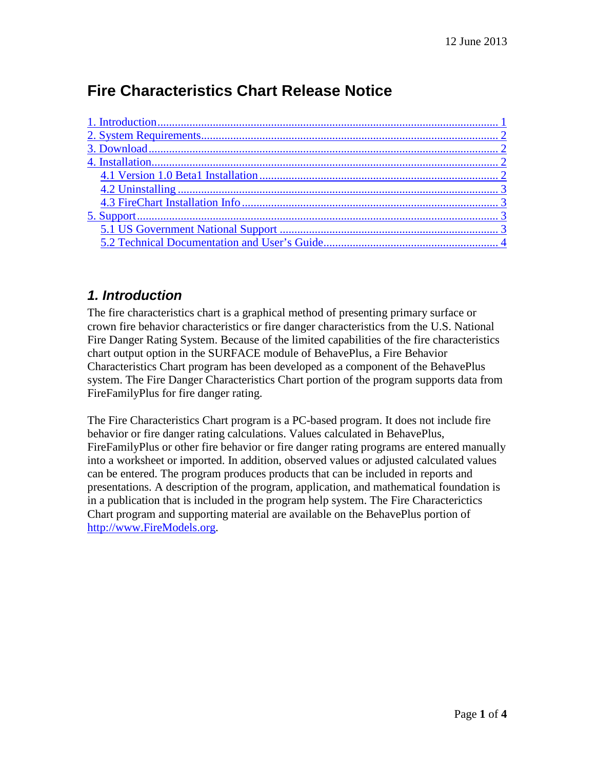# **Fire Characteristics Chart Release Notice**

#### <span id="page-0-0"></span>*1. Introduction*

The fire characteristics chart is a graphical method of presenting primary surface or crown fire behavior characteristics or fire danger characteristics from the U.S. National Fire Danger Rating System. Because of the limited capabilities of the fire characteristics chart output option in the SURFACE module of BehavePlus, a Fire Behavior Characteristics Chart program has been developed as a component of the BehavePlus system. The Fire Danger Characteristics Chart portion of the program supports data from FireFamilyPlus for fire danger rating.

The Fire Characteristics Chart program is a PC-based program. It does not include fire behavior or fire danger rating calculations. Values calculated in BehavePlus, FireFamilyPlus or other fire behavior or fire danger rating programs are entered manually into a worksheet or imported. In addition, observed values or adjusted calculated values can be entered. The program produces products that can be included in reports and presentations. A description of the program, application, and mathematical foundation is in a publication that is included in the program help system. The Fire Characterictics Chart program and supporting material are available on the BehavePlus portion of [http://www.FireModels.org.](http://www.firemodels.org/)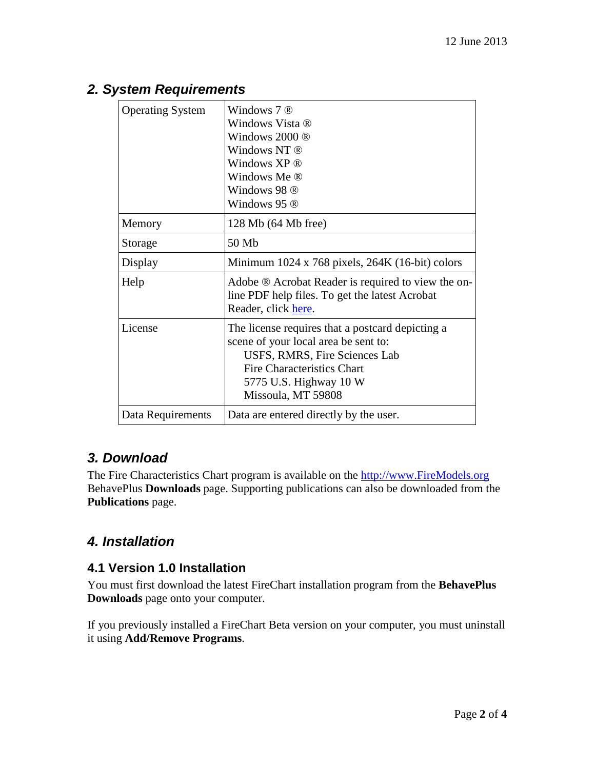| <b>Operating System</b> | Windows $7 \otimes$<br>Windows Vista ®<br>Windows $2000 \circledR$<br>Windows NT ®<br>Windows XP ®<br>Windows Me ®<br>Windows 98 ®<br>Windows 95 ®                                                      |
|-------------------------|---------------------------------------------------------------------------------------------------------------------------------------------------------------------------------------------------------|
| Memory                  | 128 Mb (64 Mb free)                                                                                                                                                                                     |
| Storage                 | 50 Mb                                                                                                                                                                                                   |
| Display                 | Minimum $1024 \times 768$ pixels, $264K$ (16-bit) colors                                                                                                                                                |
| Help                    | Adobe ® Acrobat Reader is required to view the on-<br>line PDF help files. To get the latest Acrobat<br>Reader, click here.                                                                             |
| License                 | The license requires that a postcard depicting a<br>scene of your local area be sent to:<br>USFS, RMRS, Fire Sciences Lab<br>Fire Characteristics Chart<br>5775 U.S. Highway 10 W<br>Missoula, MT 59808 |
| Data Requirements       | Data are entered directly by the user.                                                                                                                                                                  |

# <span id="page-1-0"></span>*2. System Requirements*

## <span id="page-1-1"></span>*3. Download*

The Fire Characteristics Chart program is available on the [http://www.FireModels.org](http://www.firemodels.org/) BehavePlus **Downloads** page. Supporting publications can also be downloaded from the **Publications** page.

# <span id="page-1-2"></span>*4. Installation*

## <span id="page-1-3"></span>**4.1 Version 1.0 Installation**

You must first download the latest FireChart installation program from the **BehavePlus Downloads** page onto your computer.

If you previously installed a FireChart Beta version on your computer, you must uninstall it using **Add/Remove Programs**.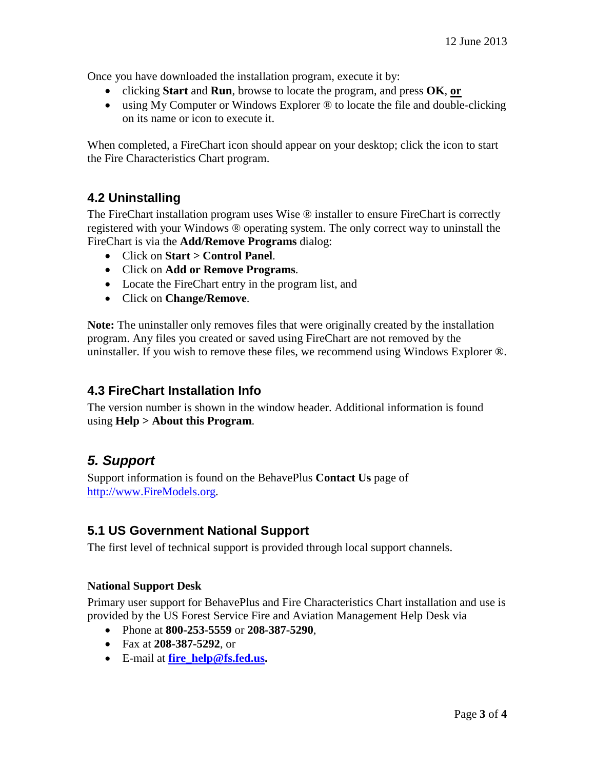Once you have downloaded the installation program, execute it by:

- clicking **Start** and **Run**, browse to locate the program, and press **OK**, **or**
- using My Computer or Windows Explorer  $\circledR$  to locate the file and double-clicking on its name or icon to execute it.

When completed, a FireChart icon should appear on your desktop; click the icon to start the Fire Characteristics Chart program.

## <span id="page-2-0"></span>**4.2 Uninstalling**

The FireChart installation program uses Wise ® installer to ensure FireChart is correctly registered with your Windows ® operating system. The only correct way to uninstall the FireChart is via the **Add/Remove Programs** dialog:

- Click on **Start > Control Panel**.
- Click on **Add or Remove Programs**.
- Locate the FireChart entry in the program list, and
- Click on **Change/Remove**.

**Note:** The uninstaller only removes files that were originally created by the installation program. Any files you created or saved using FireChart are not removed by the uninstaller. If you wish to remove these files, we recommend using Windows Explorer ®.

#### <span id="page-2-1"></span>**4.3 FireChart Installation Info**

The version number is shown in the window header. Additional information is found using **Help > About this Program**.

# <span id="page-2-2"></span>*5. Support*

Support information is found on the BehavePlus **Contact Us** page of [http://www.FireModels.org.](http://www.firemodels.org/)

#### <span id="page-2-3"></span>**5.1 US Government National Support**

The first level of technical support is provided through local support channels.

#### **National Support Desk**

Primary user support for BehavePlus and Fire Characteristics Chart installation and use is provided by the US Forest Service Fire and Aviation Management Help Desk via

- Phone at **800-253-5559** or **208-387-5290**,
- Fax at **208-387-5292**, or
- E-mail at **[fire\\_help@fs.fed.us.](mailto:fire_help@fs.fed.us)**